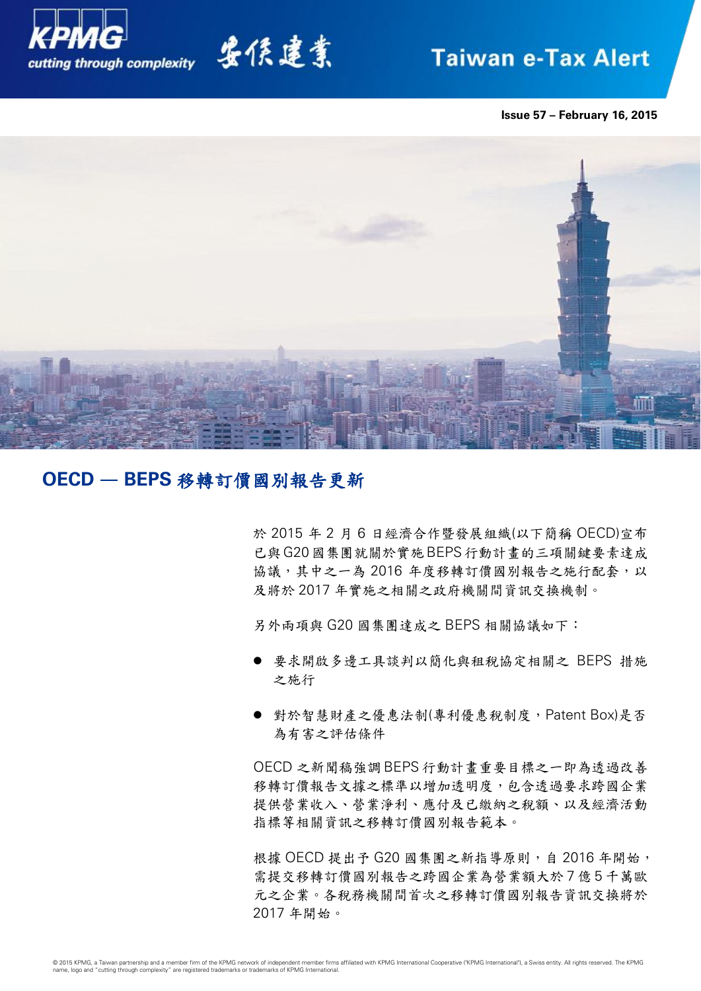

# 安侯建業

## **Taiwan e-Tax Alert**

**Issue 57 – February 16, 2015**



## **OECD** — **BEPS** 移轉訂價國別報告更新

於 2015 年 2 月 6 日經濟合作暨發展組織(以下簡稱 OECD)宣布 已與G20國集團就關於實施BEPS行動計畫的三項關鍵要素達成 協議,其中之一為 2016 年度移轉訂價國別報告之施行配套,以 及將於 2017 年實施之相關之政府機關間資訊交換機制。

另外兩項與 G20 國集團達成之 BEPS 相關協議如下:

- 要求開啟多邊工具談判以簡化與租稅協定相關之 BEPS 措施 之施行
- 對於智慧財產之優惠法制(專利優惠稅制度, Patent Box)是否 為有害之評估條件

OECD 之新聞稿強調 BEPS 行動計畫重要目標之一即為透過改善 移轉訂價報告文據之標準以增加透明度,包含透過要求跨國企業 提供營業收入、營業淨利、應付及已繳納之稅額、以及經濟活動 指標等相關資訊之移轉訂價國別報告範本。

根據 OECD 提出予 G20 國集團之新指導原則, 自 2016 年開始, 需提交移轉訂價國別報告之跨國企業為營業額大於 7 億 5 千萬歐 元之企業。各稅務機關間首次之移轉訂價國別報告資訊交換將於 2017 年開始。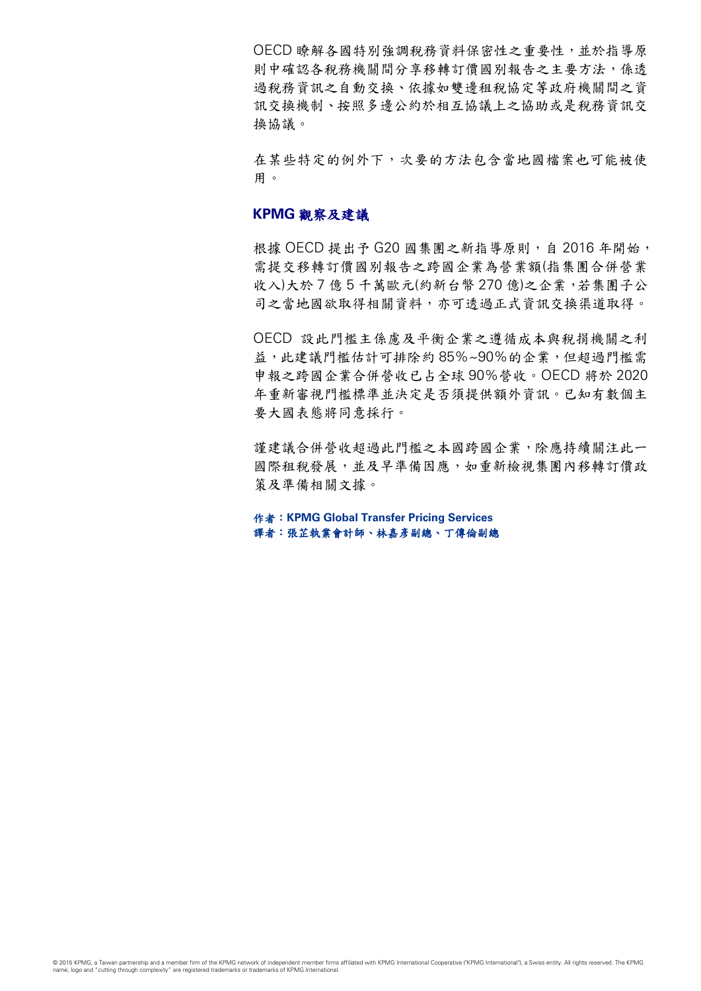OECD 瞭解各國特別強調稅務資料保密性之重要性,並於指導原 則中確認各稅務機關間分享移轉訂價國別報告之主要方法,係透 過稅務資訊之自動交換、依據如雙邊租稅協定等政府機關間之資 訊交換機制、按照多邊公約於相互協議上之協助或是稅務資訊交 換協議。

在某些特定的例外下,次要的方法包含當地國檔案也可能被使 用。

### **KPMG** 觀察及建議

根據 OECD 提出予 G20 國集團之新指導原則, 自 2016 年開始, 需提交移轉訂價國別報告之跨國企業為營業額(指集團合併營業 收入)大於 7 億 5 千萬歐元(約新台幣 270 億)之企業,若集團子公 司之當地國欲取得相關資料,亦可透過正式資訊交換渠道取得。

OECD 設此門檻主係慮及平衡企業之遵循成本與稅捐機關之利 益,此建議門檻估計可排除約 85%~90%的企業,但超過門檻需 申報之跨國企業合併營收已占全球 90%營收。OECD 將於 2020 年重新審視門檻標準並決定是否須提供額外資訊。已知有數個主 要大國表態將同意採行。

謹建議合併營收超過此門檻之本國跨國企業,除應持續關注此一 國際租稅發展,並及早準備因應,如重新檢視集團內移轉訂價政 策及準備相關文據。

作者:**KPMG Global Transfer Pricing Services** 譯者:張芷執業會計師、林嘉彥副總、丁傳倫副總